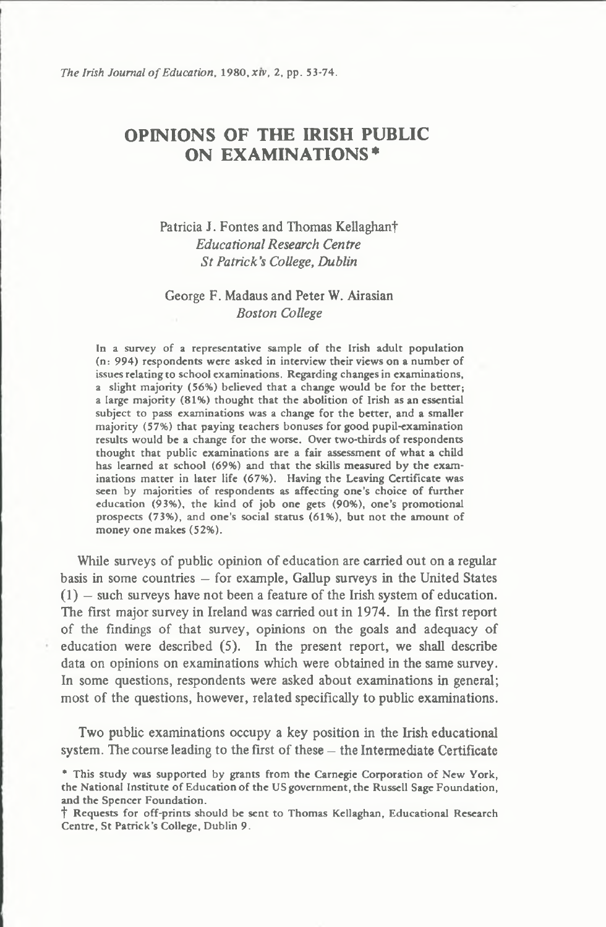# **OPINIONS OF THE IRISH PUBLIC ON EXAMINATIONS\***

## **Patricia J. Fontes and Thomas Kellaghanf** *Educational Research Centre St Patrick's College***,** *Dublin*

## **George F. Madaus and Peter W. Airasian** *Boston College*

In a survey of a representative sample of the Irish adult population (n: 994) respondents were asked in interview their views on a number of issues relating to school examinations. Regarding changes in examinations, a slight majority (56%) believed that a change would be for the better; a large majority (81%) thought that the abolition of Irish as an essential subject to pass examinations was a change for the better, and a smaller majority (57%) that paying teachers bonuses for good pupil-examination results would be a change for the worse. Over two-thirds of respondents thought that public examinations are a fair assessment of what a child has learned at school (69%) and that the skills measured by the examinations matter in later life (67%). Having the Leaving Certificate was seen by majorities of respondents as affecting one's choice of further education (93%), the kind of job one gets (90%), one's promotional prospects (73%), and one's social status (61%), but not the amount of money one makes (52%).

**While surveys of public opinion of education are carried out on a regular basis in some countries — for example, Gallup surveys in the United States (1) — such surveys have not been a feature of the Irish system of education. The first major survey in Ireland was carried out in 1974. In the first report of the findings of that survey, opinions on the goals and adequacy of education were described (5). In the present report, we shall describe data on opinions on examinations which were obtained in the same survey. In some questions, respondents were asked about examinations in general; most of the questions, however, related specifically to public examinations.**

**Two public examinations occupy a key position in the Irish educational system. The course leading to the first of these — the Intermediate Certificate**

<sup>\*</sup> This study was supported by grants from the Carnegie Corporation of New York, the National Institute of Education of the US government, the Russell Sage Foundation, and the Spencer Foundation.

t Requests for off-prints should be sent to Thomas Kellaghan, Educational Research Centre, St Patrick's College, Dublin 9.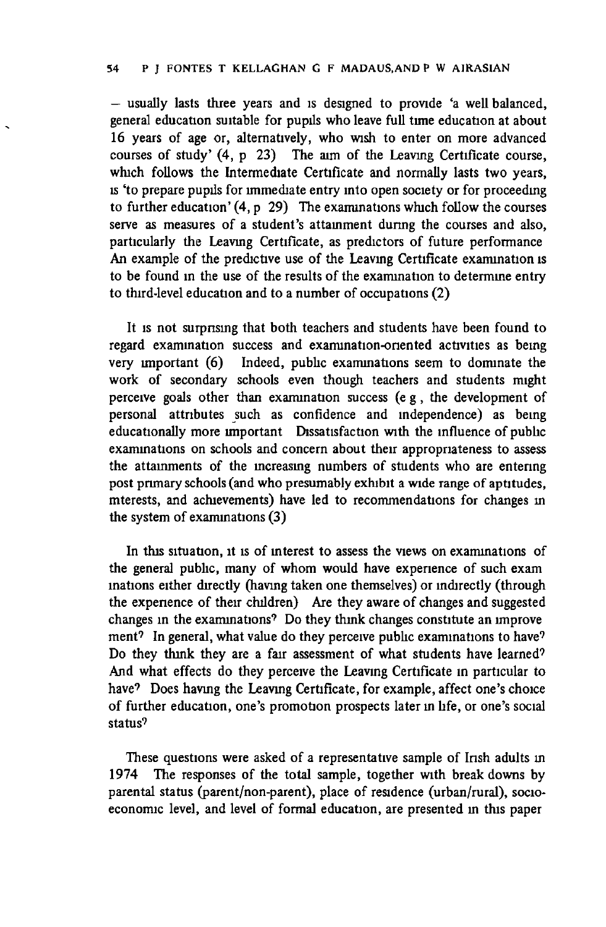**— usually lasts three years and is designed to provide 'a well balanced, general education suitable for pupils who leave full time education at about 16 years of age or, alternatively, who wish to enter on more advanced courses of study' (4, p 23) The aim of the Leaving Certificate course, which follows the Intermediate Certificate and normally lasts two years, is 'to prepare pupils for immediate entry into open society or for proceedmg to further education' (4, p 29) The examinations which follow the courses serve as measures of a student's attainment during the courses and also, particularly the Leaving Certificate, as predictors of future performance An example of the predictive use of the Leaving Certificate examination is to be found in the use of the results of the examination to determine entry to third-level education and to a number of occupations (2)**

**It is not surprising that both teachers and students have been found to regard examination success and examination-oriented activities as being very important (6) Indeed, public examinations seem to dominate the work of secondary schools even though teachers and students might perceive goals other than examination success (eg , the development of personal attributes such as confidence and independence) as being educationally more important Dissatisfaction with the influence of public examinations on schools and concern about their appropriateness to assess the attainments of the increasing numbers of students who are entering post primary schools (and who presumably exhibit a wide range of aptitudes, mterests, and achievements) have led to recommendations for changes m the system of examinations (3)**

**In this situation, it is of interest to assess the views on examinations of the general public, many of whom would have experience of such exam mations either directly (having taken one themselves) or indirectly (through the experience of their children) Are they aware of changes and suggested changes in the examinations9 Do they think changes constitute an improve ment7 In general, what value do they perceive public examinations to have9 Do they think they are a fair assessment of what students have learned7 And what effects do they perceive the Leaving Certificate in particular to** have? Does having the Leaving Certificate, for example, affect one's choice **of further education, one's promotion prospects later in life, or one's social status9**

**These questions were asked of a representative sample of Irish adults in 1974 The responses of the total sample, together with break downs by parental status (parent/non-parent), place of residence (urban/rural), socioeconomic level, and level of formal education, are presented in this paper**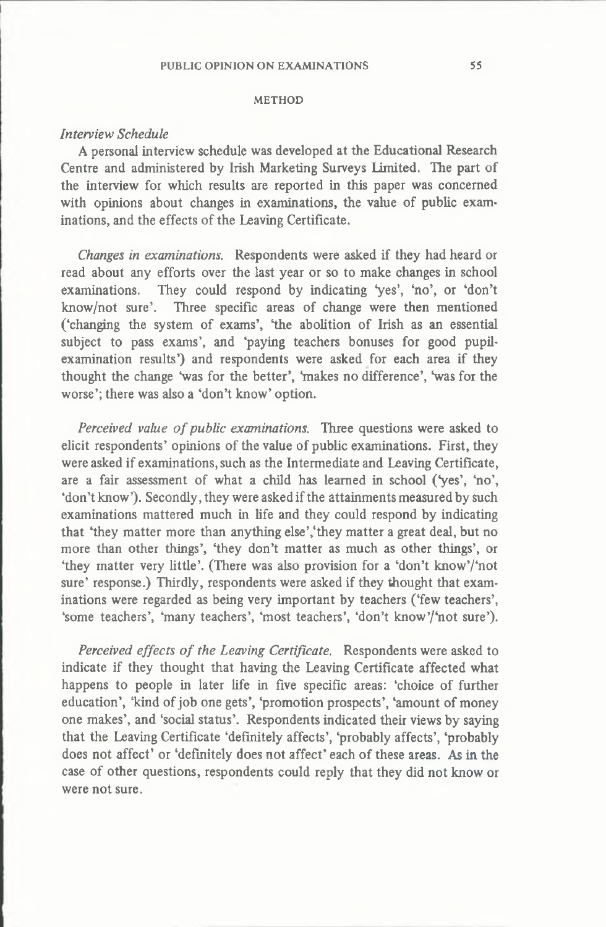#### **METHOD**

#### *Interview Schedule*

**A personal interview schedule was developed at the Educational Research Centre and administered by Irish Marketing Surveys Limited. The part of the interview for which results are reported in this paper was concerned with opinions about changes in examinations, the value of public examinations, and the effects of the Leaving Certificate.**

*Changes in examinations.* **Respondents were asked if they had heard or read about any efforts over the last year or so to make changes in school** examinations. They could respond by indicating 'yes', 'no', or 'don't **know/not sure'. Three specific areas of change were then mentioned ('changing the system of exams', 'the abolition of Irish as an essential subject to pass exams', and 'paying teachers bonuses for good pupilexamination results') and respondents were asked for each area if they** thought the change 'was for the better', 'makes no difference', 'was for the **worse'; there was also a 'don't know' option.**

*Perceived value of public examinations.* **Three questions were asked to elicit respondents' opinions of the value of public examinations. First, they were asked if examinations, such as the Intermediate and Leaving Certificate, are a fair assessment of what a child has learned in school (Ves', 'no', 'don't know'). Secondly, they were asked if the attainments measured by such examinations mattered much in life and they could respond by indicating that 'they matter more than anything else','they matter a great deal, but no more than other things', 'they don't matter as much as other things', or 'they matter very little'. (There was also provision for a 'don't know'/'not sure' response.) Thirdly, respondents were asked if they thought that examinations were regarded as being very important by teachers ('few teachers',** 'some teachers', 'many teachers', 'most teachers', 'don't know'/'not sure').

*Perceived effects of the Leaving Certificate.* **Respondents were asked to indicate if they thought that having the Leaving Certificate affected what happens to people in later life in five specific areas: 'choice of further education', 'kind of job one gets', 'promotion prospects', 'amount of money one makes', and 'social status'. Respondents indicated their views by saying that the Leaving Certificate 'definitely affects', 'probably affects', 'probably does not affect' or 'definitely does not affect' each of these areas. As in the case of other questions, respondents could reply that they did not know or were not sure.**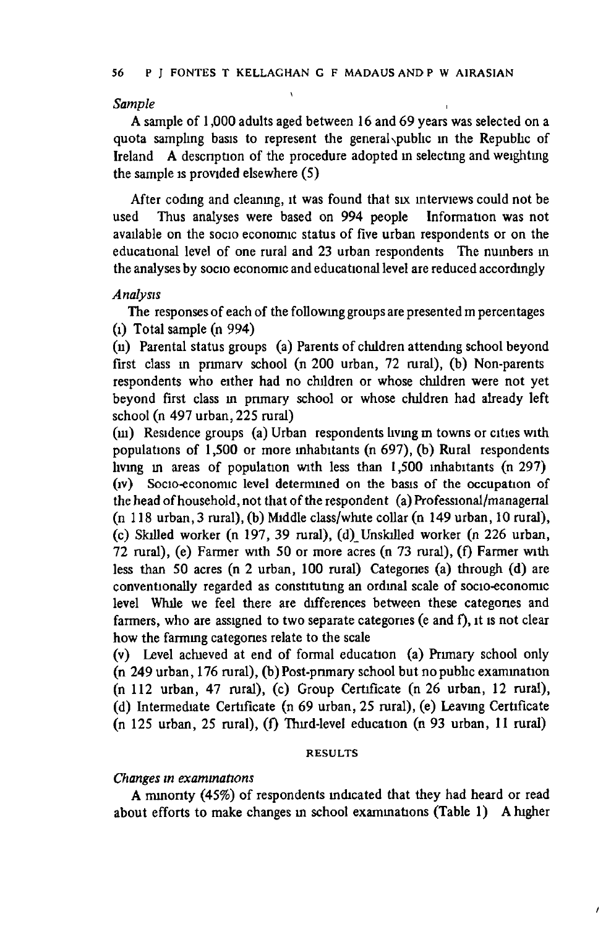**\**

#### *Sample* **,**

**A sample of 1,000 adults aged between 16 and 69 years was selected on a quota sampling basis to represent the general \pubhc in the Republic of Ireland A description of the procedure adopted in selecting and weighting the sample is provided elsewhere (5)**

**After coding and cleaning, it was found that six interviews could not be used Thus analyses were based on 994 people Information was not available on the socio economic status of five urban respondents or on the educational level of one rural and 23 urban respondents The numbers m the analyses by socio economic and educational level are reduced accordingly**

#### *Analysis*

**The responses of each of the following groups are presented m percentages (l) Total sample (n 994)**

**(n) Parental status groups (a) Parents of children attending school beyond first class m primary school (n 200 urban, 72 rural), (b) Non-parents respondents who either had no children or whose children were not yet beyond first class in primary school or whose children had already left school (n 497 urban, 225 rural)**

**(m) Residence groups (a) Urban respondents living m towns or cities with populations of 1,500 or more inhabitants (n 697), (b) Rural respondents living m areas of population with less than 1,500 inhabitants (n 297)** (iv) Socio-economic level determined on the basis of the occupation of **the head of household, not that of the respondent (a) Professional/managerial (n 118 urban, 3 rural), (b) Middle class/white collar (n 149 urban, 10 rural), (c) Skilled worker (n 197, 39 rural), (d)\_Unskilled worker (n 226 urban,** 72 rural), (e) Farmer with 50 or more acres (n 73 rural), (f) Farmer with **less than 50 acres (n 2 urban, 100 rural) Categories (a) through (d) are conventionally regarded as constituting an ordinal scale of socio-economic level While we feel there are differences between these categones and** farmers, who are assigned to two separate categories (e and f), it is not clear **how the farming categones relate to the scale**

**(v) Level achieved at end of formal education (a) Primary school only (n 249 urban, 176 rural), (b) Post-pnmary school but nopublic examination (n 112 urban, 47 rural), (c) Group Certificate (n 26 urban, 12 rural), (d) Intermediate Certificate (n 69 urban, 25 rural), (e) Leaving Certificate (n 125 urban, 25 rural), (f) Third-level education (n 93 urban, 11 rural)**

#### RESULTS

#### *Changes in examinations*

**A minonty (45%) of respondents indicated that they had heard or read about efforts to make changes in school examinations (Table 1) A higher**

 $\lambda$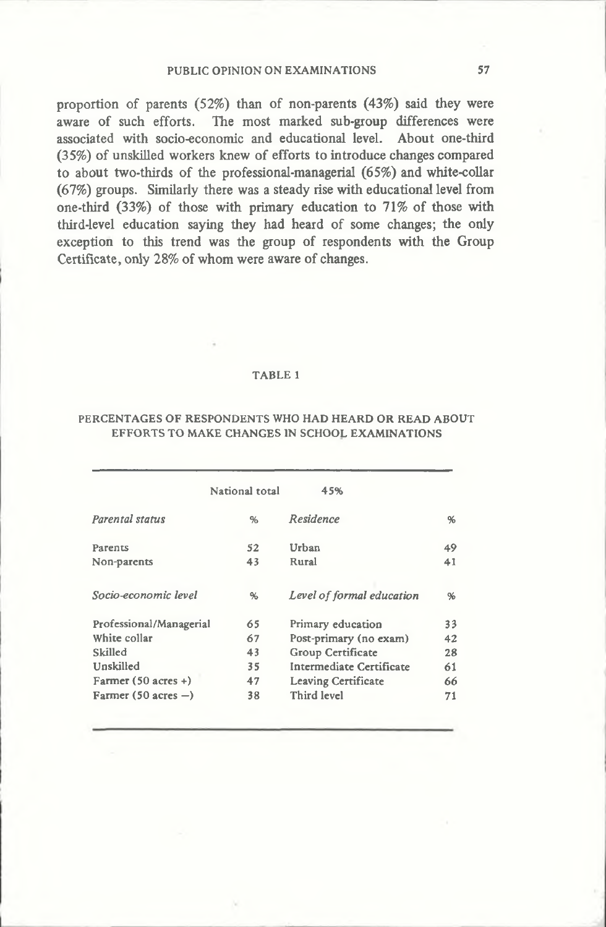**proportion of parents (52%) than of non-parents (43%) said they were aware of such efforts. The most marked sub-group differences were associated with socio-economic and educational level. About one-third (35%) of unskilled workers knew of efforts to introduce changes compared to about two-thirds of the professional-managerial (65%) and white-collar (67%) groups. Similarly there was a steady rise with educational level from one-third (33%) of those with primary education to 71% of those with third-level education saying they had heard of some changes; the only exception to this trend was the group of respondents with the Group Certificate, only 28% of whom were aware of changes.**

#### TABLE 1

#### PERCENTAGES OF RESPONDENTS WHO HAD HEARD OR READ ABOUT EFFORTS TO MAKE CHANGES IN SCHOOL EXAMINATIONS

|                                | National total | 45%                       |    |
|--------------------------------|----------------|---------------------------|----|
| Parental status                | %              | Residence                 | %  |
| Parents                        | 52             | Urban                     | 49 |
| Non-parents                    | 43             | Rural                     | 41 |
| Socio-economic level           | %              | Level of formal education | %  |
| Professional/Managerial        | 65             | Primary education         | 33 |
| White collar                   | 67             | Post-primary (no exam)    | 42 |
| Skilled                        | 43             | Group Certificate         | 28 |
| Unskilled                      | 35             | Intermediate Certificate  | 61 |
| Farmer $(50 \text{ acres} + )$ | 47             | Leaving Certificate       | 66 |
| Farmer $(50 \text{ acres} - )$ | 38             | Third level               | 71 |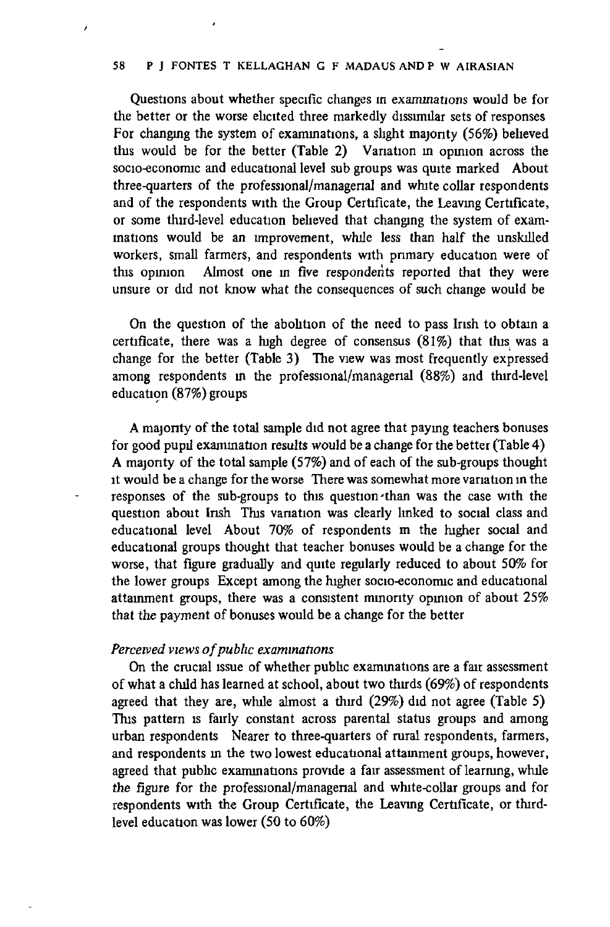**Questions about whether specific changes in examinations would be for the better or the worse elicited three markedly dissimilar sets of responses For changing the system of examinations, a slight majority (56%) believed this would be for the better (Table 2) Variation in opinion across the socio-economic and educational level sub groups was quite marked About three-quarters of the professional/managerial and white collar respondents and of the respondents with the Group Certificate, the Leaving Certificate,** or some third-level education believed that changing the system of exam**inations would be an improvement, while less than half the unskilled workers, small farmers, and respondents with primary education were of this opmion Almost one in five respondents reported that they were unsure or did not know what the consequences of such change would be**

**On the question of the abolition of the need to pass Irish to obtain a certificate, there was a high degree of consensus (81%) that this was a change for the better (Table 3) The view was most frequently expressed among respondents in the professional/managerial (88%) and third-level education (87%) groups**

**A majonty of the total sample did not agree that paying teachers bonuses for good pupil examination results would be a change for the better (Table 4) A majonty of the total sample (57%) and of each of the sub-groups thought it would be a change for the worse There was somewhat more variation m the responses of the sub-groups to this question-than was the case with the question about Insh This vanation was clearly linked to social class and educational level About 70% of respondents m the higher social and educational groups thought that teacher bonuses would be a change for the worse, that figure gradually and quite regularly reduced to about 50% for the lower groups Except among the higher socio-economic and educational attainment groups, there was a consistent minority opmion of about 25% that the payment of bonuses would be a change for the better**

#### *Perceived views of public examinations*

**On the crucial issue of whether public examinations are a fair assessment of what a child has learned at school, about two thirds (69%) of respondents agreed that they are, while almost a third (29%) did not agree (Table 5) This pattern is fairly constant across parental status groups and among urban respondents Nearer to three-quarters of rural respondents, farmers, and respondents m the two lowest educational attainment groups, however, agreed that public examinations provide a fair assessment of learning, while the figure for the professional/managenal and white-collar groups and for respondents with the Group Certificate, the Leaving Certificate, or thirdlevel education was lower (50 to 60%)**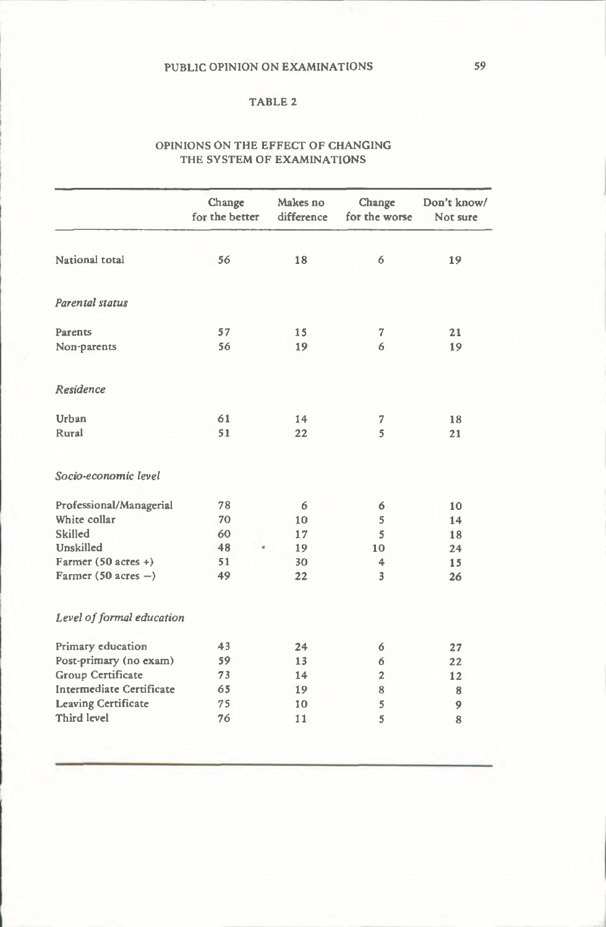#### TABLE 2

#### OPINIONS ON THE EFFECT OF CHANGING THE SYSTEM OF EXAMINATIONS

|                                 | Change<br>for the better | Makes no<br>difference | Change<br>for the worse | Don't know/<br>Not sure |
|---------------------------------|--------------------------|------------------------|-------------------------|-------------------------|
| National total                  | 56                       | 18                     | 6                       | 19                      |
| Parental status                 |                          |                        |                         |                         |
| Parents                         | 57                       | 15                     | 7                       | 21                      |
| Non-parents                     | 56                       | 19                     | 6                       | 19                      |
| Residence                       |                          |                        |                         |                         |
| Urban                           | 61                       | 14                     | 7                       | 18                      |
| Rural                           | 51                       | 22                     | 5                       | 21                      |
| Socio-economic level            |                          |                        |                         |                         |
| Professional/Managerial         | 78                       | 6                      | 6                       | 10                      |
| White collar                    | 70                       | 10                     | 5                       | 14                      |
| Skilled                         | 60                       | 17                     | 5                       | 18                      |
| Unskilled                       | 48                       | 19                     | 10                      | 24                      |
| Farmer (50 acres +)             | 51                       | 30                     | 4                       | 15                      |
| Farmer (50 acres $-$ )          | 49                       | 22                     | 3                       | 26                      |
| Level of formal education       |                          |                        |                         |                         |
| Primary education               | 43                       | 24                     | 6                       | 27                      |
| Post-primary (no exam)          | 59                       | 13                     | 6                       | 22                      |
| Group Certificate               | 73                       | 14                     | $\overline{c}$          | 12                      |
| <b>Intermediate Certificate</b> | 65                       | 19                     | 8                       | 8                       |
| <b>Leaving Certificate</b>      | 75                       | 10                     | 5                       | 9                       |
| Third level                     | 76                       | 11                     | 5                       | 8                       |
|                                 |                          |                        |                         |                         |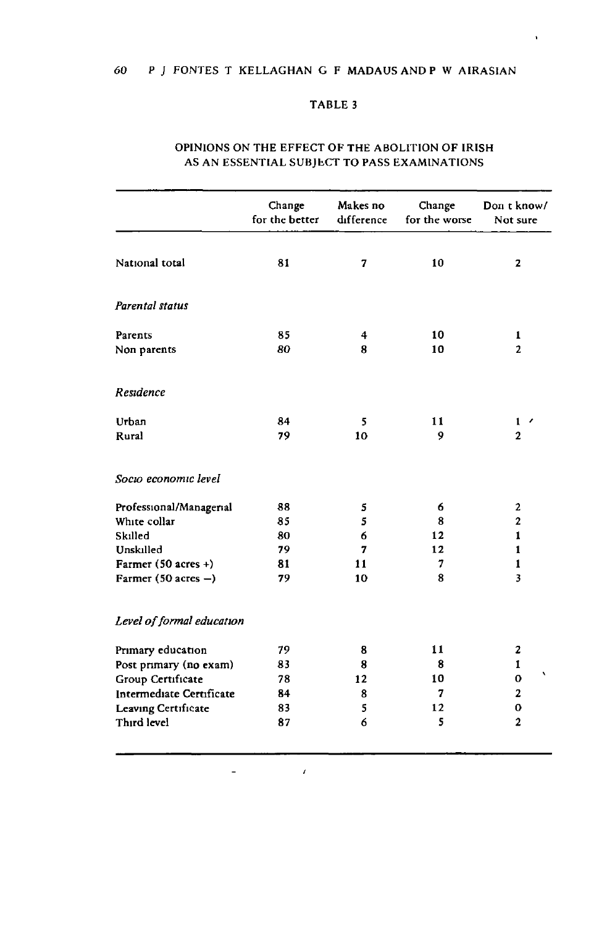## TABLE 3

 $\mathbf{r}$ 

|                                | Change<br>for the better | Makes no<br>difference | Change<br>for the worse | Don t know/<br>Not sure |
|--------------------------------|--------------------------|------------------------|-------------------------|-------------------------|
| National total                 | 81                       | 7                      | 10                      | 2                       |
| Parental status                |                          |                        |                         |                         |
| Parents                        | 85                       | 4                      | 10                      | 1                       |
| Non parents                    | 80                       | 8                      | 10                      | $\overline{2}$          |
| Residence                      |                          |                        |                         |                         |
| Urban                          | 84                       | 5                      | 11                      | $1 \cdot$               |
| Rural                          | 79                       | 10                     | 9                       | $\mathbf{2}$            |
| Socio economic level           |                          |                        |                         |                         |
| Professional/Managerial        | 88                       | 5                      | 6                       | $\mathbf{2}$            |
| White collar                   | 85                       | 5                      | 8                       | $\overline{2}$          |
| Skilled                        | 80                       | 6                      | 12                      | $\mathbf{1}$            |
| Unskilled                      | 79                       | 7                      | 12                      | 1                       |
| Farmer $(50 \text{ acres} + )$ | 81                       | 11                     | 7                       | 1                       |
| Farmer (50 acres $-$ )         | 79                       | 10                     | 8                       | 3                       |
| Level of formal education      |                          |                        |                         |                         |
| Primary education              | 79                       | 8                      | 11                      | 2                       |
| Post primary (no exam)         | 83                       | 8                      | 8                       | 1                       |
| Group Certificate              | 78                       | 12                     | 10                      | 0                       |
| Intermediate Certificate       | 84                       | 8                      | 7                       | $\mathbf{2}$            |
| Leaving Certificate            | 83                       | 5                      | 12                      | 0                       |
| Third level                    | 87                       | 6                      | 5                       | $\overline{2}$          |

#### OPINIONS ON THE EFFECT OF THE ABOLITION OF IRISH AS AN ESSENTIAL SUBJECT TO PASS EXAMINATIONS

 $\pmb{\ell}$ 

 $\ddot{\phantom{a}}$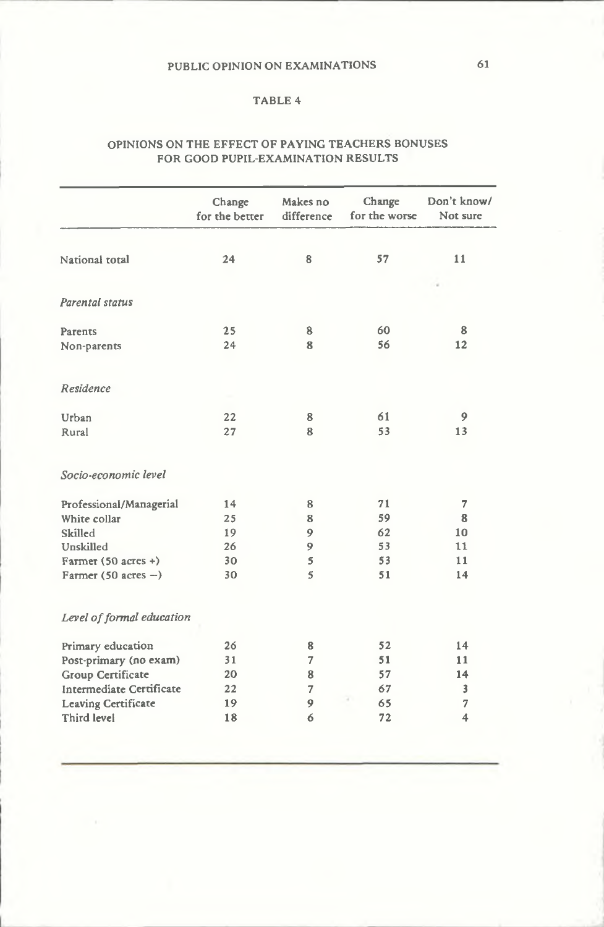### TABLE 4

#### OPINIONS ON THE EFFECT OF PAYING TEACHERS BONUSES FOR GOOD PUPIL-EXAMINATION RESULTS

|                                | Change<br>for the better | Makes no<br>difference | Change<br>for the worse | Don't know/<br>Not sure |
|--------------------------------|--------------------------|------------------------|-------------------------|-------------------------|
|                                |                          |                        |                         |                         |
| National total                 | 24                       | 8                      | 57                      | 11                      |
|                                |                          |                        |                         |                         |
| Parental status                |                          |                        |                         |                         |
| Parents                        | 25                       | 8                      | 60                      | 8                       |
| Non-parents                    | 24                       | 8                      | 56                      | 12                      |
| Residence                      |                          |                        |                         |                         |
| Urban                          | 22                       | 8                      | 61                      | 9                       |
| Rural                          | 27                       | 8                      | 53                      | 13                      |
| Socio-economic level           |                          |                        |                         |                         |
| Professional/Managerial        | 14                       | 8                      | 71                      | 7                       |
| White collar                   | 25                       | 8                      | 59                      | 8                       |
| Skilled                        | 19                       | 9                      | 62                      | 10                      |
| Unskilled                      | 26                       | 9                      | 53                      | 11                      |
| Farmer $(50 \text{ acres} + )$ | 30                       | 5                      | 53                      | 11                      |
| Farmer (50 acres $-$ )         | 30                       | 5                      | 51                      | 14                      |
| Level of formal education      |                          |                        |                         |                         |
| Primary education              | 26                       | 8                      | 52                      | 14                      |
| Post-primary (no exam)         | 31                       | 7                      | 51                      | 11                      |
| Group Certificate              | 20                       | 8                      | 57                      | 14                      |
| Intermediate Certificate       | 22                       | $\overline{7}$         | 67                      | 3                       |
| <b>Leaving Certificate</b>     | 19                       | 9                      | 65                      | $\overline{7}$          |
| Third level                    | 18                       | 6                      | 72                      | 4                       |
|                                |                          |                        |                         |                         |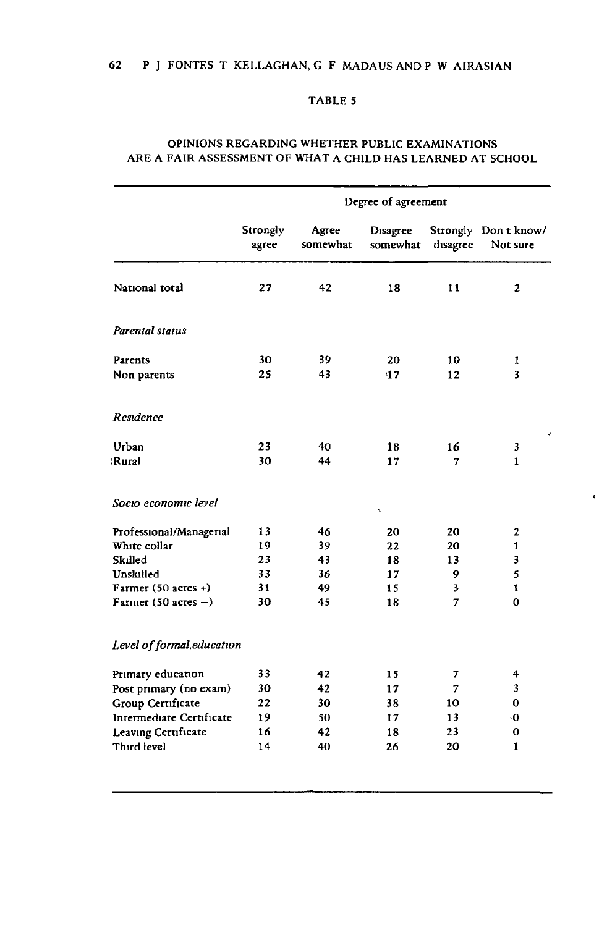#### TABLE 5

|                           | Degree of agreement |                   |                      |          |                                  |  |  |
|---------------------------|---------------------|-------------------|----------------------|----------|----------------------------------|--|--|
|                           | Strongly<br>agree   | Agree<br>somewhat | Disagree<br>somewhat | disagree | Strongly Don t know/<br>Not sure |  |  |
| National total            | 27                  | 42                | 18                   | 11       | 2                                |  |  |
| <b>Parental status</b>    |                     |                   |                      |          |                                  |  |  |
| Parents                   | 30                  | 39.               | 20                   | 10       | 1                                |  |  |
| Non parents               | 25                  | 43                | 17                   | 12       | 3                                |  |  |
| Residence                 |                     |                   |                      |          |                                  |  |  |
| Urban                     | 23                  | 40                | 18                   | 16       | 3                                |  |  |
| 'Rural                    | 30                  | 44                | 17                   | 7        | $\mathbf{1}$                     |  |  |
| Socio economic level      |                     |                   | ۰                    |          |                                  |  |  |
| Professional/Managerial   | 13                  | 46                | 20                   | 20       | 2                                |  |  |
| White collar              | 19                  | 39                | 22                   | 20       | 1                                |  |  |
| Skilled                   | 23                  | 43                | 18                   | 13       | $\overline{\mathbf{3}}$          |  |  |
| Unskilled                 | 33                  | 36                | 17                   | 9        | 5                                |  |  |
| Farmer $(50$ acres +)     | 31                  | 49                | 15                   | 3        | 1                                |  |  |
| Farmer (50 acres $-$ )    | 30                  | 45                | 18                   | 7        | 0                                |  |  |
| Level of formal education |                     |                   |                      |          |                                  |  |  |
| Primary education         | 33                  | 42                | 15                   | 7        | 4                                |  |  |
| Post primary (no exam)    | 30                  | 42                | 17                   | 7        | 3                                |  |  |
| Group Certificate         | 22                  | 30                | 38                   | 10       | 0                                |  |  |
| Intermediate Certificate  | 19                  | 50                | 17                   | 13       | ۱O                               |  |  |
| Leaving Certificate       | 16                  | 42                | 18                   | 23       | 0                                |  |  |
| Third level               | 14                  | 40                | 26                   | 20       | 1                                |  |  |

 $\pmb{\epsilon}$ 

## OPINIONS REGARDING WHETHER PUBLIC EXAMINATIONS ARE A FAIR ASSESSMENT OF WHAT A CHILD HAS LEARNED AT SCHOOL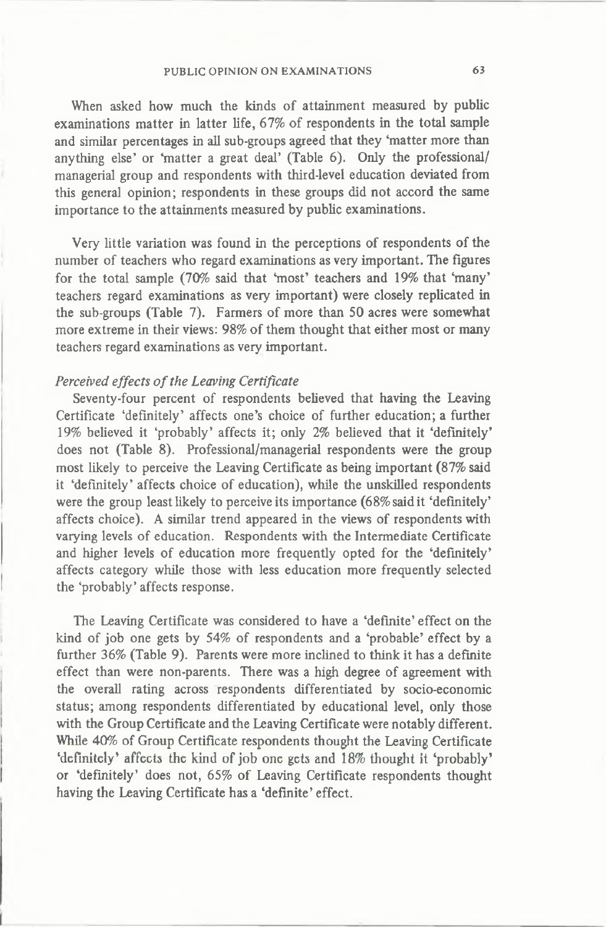**When asked how much the kinds of attainment measured by public examinations matter in latter life, 67% of respondents in the total sample and similar percentages in all sub-groups agreed that they 'matter more than anything else' or 'matter a great deal' (Table 6). Only the professional/ managerial group and respondents with third-level education deviated from this general opinion; respondents in these groups did not accord the same importance to the attainments measured by public examinations.**

**Very little variation was found in the perceptions of respondents of the number of teachers who regard examinations as very important. The figures for the total sample (70% said that 'most' teachers and 19% that 'many' teachers regard examinations as very important) were closely replicated in the sub-groups (Table 7). Farmers of more than 50 acres were somewhat more extreme in their views: 98% of them thought that either most or many teachers regard examinations as very important.**

### *Perceived effects of the Leaving Certificate*

**Seventy-four percent of respondents believed that having the Leaving Certificate 'definitely' affects one's choice of further education; a further 19% believed it 'probably' affects it; only 2% believed that it 'definitely' does not (Table 8). Professional/managerial respondents were the group most likely to perceive the Leaving Certificate as being important (87% said it 'definitely' affects choice of education), while the unskilled respondents were the group least likely to perceive its importance (68% said it 'definitely' affects choice). A similar trend appeared in the views of respondents with varying levels of education. Respondents with the Intermediate Certificate and higher levels of education more frequently opted for the 'definitely' affects category while those with less education more frequently selected the 'probably' affects response.**

**The Leaving Certificate was considered to have a 'definite' effect on the kind of job one gets by 54% of respondents and a 'probable' effect by a further 36% (Table 9). Parents were more inclined to think it has a definite effect than were non-parents. There was a high degree of agreement with the overall rating across respondents differentiated by socio-economic status; among respondents differentiated by educational level, only those with the Group Certificate and the Leaving Certificate were notably different. While 40% of Group Certificate respondents thought the Leaving Certificate 'definitely\* affects the kind of job one gets and 18% thought it 'probably' or 'definitely' does not, 65% of Leaving Certificate respondents thought having the Leaving Certificate has a 'definite' effect.**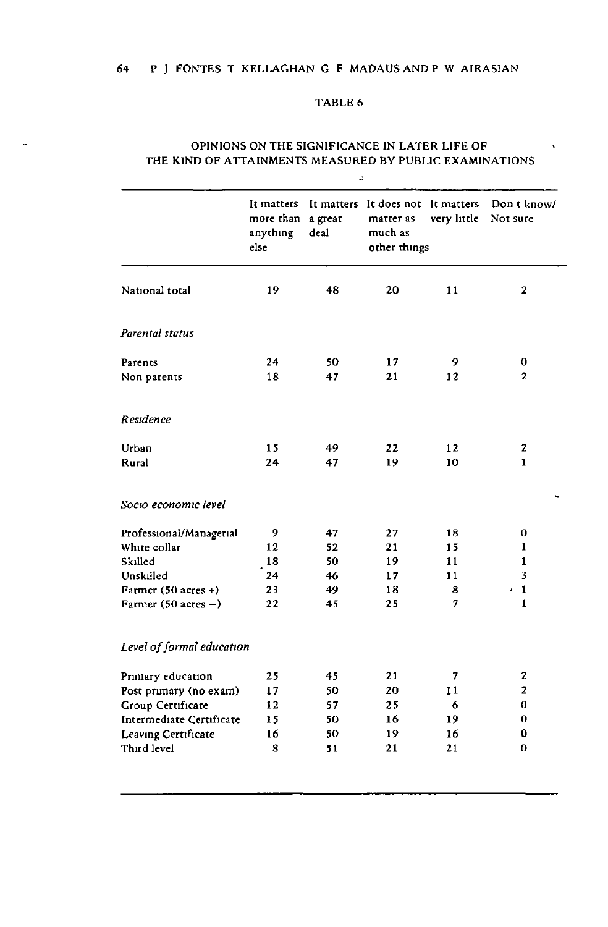#### TABLE 6

|                           | It matters<br>more than<br>anything<br>else | a great<br>deal | It matters It does not It matters<br>matter as<br>much as<br>other things | very little | Don t know/<br>Not sure   |
|---------------------------|---------------------------------------------|-----------------|---------------------------------------------------------------------------|-------------|---------------------------|
|                           |                                             |                 |                                                                           |             |                           |
| National total            | 19                                          | 48              | 20                                                                        | 11          | $\mathbf{2}$              |
| Parental status           |                                             |                 |                                                                           |             |                           |
| Parents                   | 24                                          | 50              | 17                                                                        | 9           | 0                         |
| Non parents               | 18                                          | 47              | 21                                                                        | 12          | $\overline{2}$            |
| Residence                 |                                             |                 |                                                                           |             |                           |
| Urban                     | 15                                          | 49              | 22                                                                        | 12          | 2                         |
| Rural                     | 24                                          | 47              | 19                                                                        | 10          | $\mathbf{1}$              |
| Socio economic level      |                                             |                 |                                                                           |             |                           |
| Professional/Managerial   | 9                                           | 47              | 27                                                                        | 18          | 0                         |
| White collar              | 12                                          | 52              | 21                                                                        | 15          | 1                         |
| Skilled                   | 18                                          | 50              | 19                                                                        | 11          | 1                         |
| Unskilled                 | 24                                          | 46              | 17                                                                        | 11          | 3                         |
| Farmer (50 acres +)       | 23                                          | 49              | 18                                                                        | 8           | $\mathbf{1}$<br>$\bar{I}$ |
| Farmer (50 acres $-$ )    | 22                                          | 45              | 25                                                                        | 7           | $\mathbf{1}$              |
| Level of formal education |                                             |                 |                                                                           |             |                           |
| Primary education         | 25                                          | 45              | 21                                                                        | 7           | 2                         |
| Post primary (no exam)    | 17                                          | 50              | 20                                                                        | 11          | $\overline{2}$            |
| Group Certificate         | 12                                          | 57              | 25                                                                        | 6           | 0                         |
| Intermediate Certificate  | 15                                          | 50              | 16                                                                        | 19          | 0                         |
| Leaving Certificate       | 16                                          | 50              | 19                                                                        | 16          | 0                         |
| Third level               | 8                                           | 51              | 21                                                                        | 21          | 0                         |

#### OPINIONS ON THE SIGNIFICANCE IN LATER LIFE OF THE KIND OF ATTAINMENTS MEASURED BY PUBLIC EXAMINATIONS

 $\pmb{\cdot}$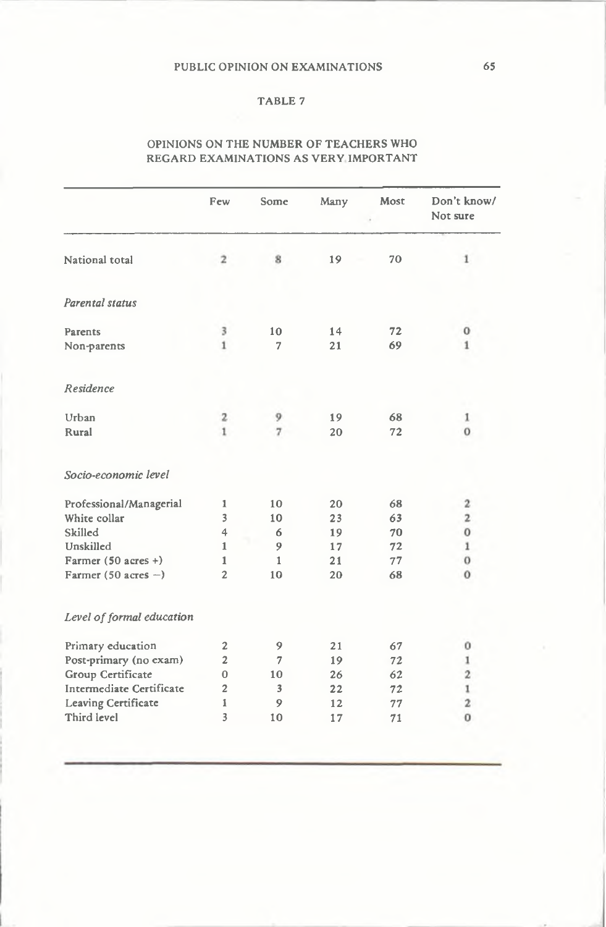#### TABLE 7

#### OPINIONS ON THE NUMBER OF TEACHERS WHO REGARD EXAMINATIONS AS VERY IMPORTANT

| Don't know/<br>Not sure | Most | Many | Some              | Few                     |                                |
|-------------------------|------|------|-------------------|-------------------------|--------------------------------|
|                         |      |      |                   |                         |                                |
| $\mathbf{1}$            | 70   | 19   | 8                 | $\overline{2}$          | National total                 |
|                         |      |      |                   |                         | Parental status                |
| 0                       | 72   | 14   | 10                | 3                       | Parents                        |
| $\mathbf{1}$            | 69   | 21   | 7                 | $\mathbf{1}$            | Non-parents                    |
|                         |      |      |                   |                         | Residence                      |
| 1                       | 68   | 19   | 9                 | 2                       | Urban                          |
| $\sigma$                | 72   | 20   | $\overline{\tau}$ | ï                       | Rural                          |
|                         |      |      |                   |                         | Socio-economic level           |
| $\mathbf{2}$            | 68   | 20   | 10                | 1                       | Professional/Managerial        |
| $\overline{2}$          | 63   | 23   | 10                | $\overline{\mathbf{3}}$ | White collar                   |
| $\mathbf{O}$            | 70   | 19   | 6                 | $\ddot{4}$              | Skilled                        |
| $\mathbf{1}$            | 72   | 17   | 9                 | 1                       | Unskilled                      |
| $\bf{0}$                | 77   | 21   | 1                 | $\mathbf{1}$            | Farmer $(50 \text{ acres} + )$ |
| 0                       | 68   | 20   | 10                | $\overline{2}$          | Farmer (50 acres $-$ )         |
|                         |      |      |                   |                         | Level of formal education      |
| 0                       | 67   | 21   | 9                 | $\overline{\mathbf{c}}$ | Primary education              |
| 1                       | 72   | 19   | $\overline{7}$    | $\overline{2}$          | Post-primary (no exam)         |
| $\mathbf{2}$            | 62   | 26   | 10                | $\mathbf{0}$            | Group Certificate              |
| $\mathbbm{1}$           | 72   | 22   | 3                 | $\overline{2}$          | Intermediate Certificate       |
| $\mathbf{2}$            | 77   | 12   | 9                 | 1                       | Leaving Certificate            |
| $\Omega$                | 71   | 17   | 10                | 3                       | Third level                    |
|                         |      |      |                   |                         |                                |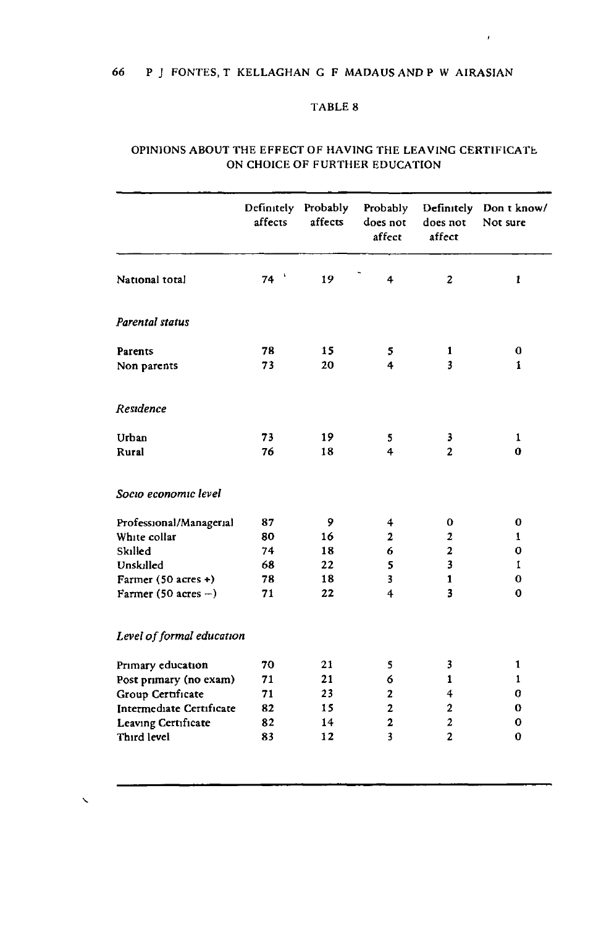### 66 P J FONTES, T KELLAGHAN G F MADAUS AND P W AIRASIAN

#### TABLE 8

 $\pmb{\cdot}$ 

|                           | Definitely Probably<br>affects | affects | Probably<br>does not<br>affect | does not<br>affect | Definitely Don t know/<br>Not sure |
|---------------------------|--------------------------------|---------|--------------------------------|--------------------|------------------------------------|
| National total            | - 5<br>74                      | 19      | 4                              | $\overline{c}$     | $\mathbf{1}$                       |
| Parental status           |                                |         |                                |                    |                                    |
| Parents                   | 78                             | 15      | 5                              | 1                  | 0                                  |
| Non parents               | 73                             | 20      | 4                              | 3                  | 1                                  |
| Residence                 |                                |         |                                |                    |                                    |
| Urban                     | 73                             | 19      | 5                              | 3                  | 1                                  |
| Rural                     | 76                             | 18      | 4                              | $\mathbf{2}$       | 0                                  |
| Socio economic level      |                                |         |                                |                    |                                    |
| Professional/Managerial   | 87                             | 9       | 4                              | 0                  | 0                                  |
| White collar              | 80                             | 16      | $\overline{\mathbf{c}}$        | 2                  | 1                                  |
| Skilled                   | 74                             | 18      | 6                              | $\overline{2}$     | 0                                  |
| Unskilled                 | 68                             | 22      | 5                              | 3                  | 1                                  |
| Farmer (50 acres +)       | 78                             | 18      | 3                              | $\mathbf{1}$       | 0                                  |
| Farmer (50 acres $-$ )    | 71                             | 22      | 4                              | 3                  | $\bf o$                            |
| Level of formal education |                                |         |                                |                    |                                    |
| Primary education         | 70                             | 21      | 5                              | 3                  | 1                                  |
| Post primary (no exam)    | 71                             | 21      | 6                              | 1                  | 1                                  |
| Group Certificate         | 71                             | 23      | 2                              | 4                  | o                                  |
| Intermediate Certificate  | 82                             | 15      | 2                              | $\mathbf 2$        | 0                                  |
| Leaving Certificate       | 82                             | 14      | $\overline{2}$                 | $\overline{2}$     | 0                                  |
| Third level               | 83                             | 12      | $\overline{\mathbf{3}}$        | $\overline{2}$     | 0                                  |

### OPINIONS ABOUT THE EFFECT OF HAVING THE LEAVING CERTIFICATE ON CHOICE OF FURTHER EDUCATION

 $\overline{\phantom{0}}$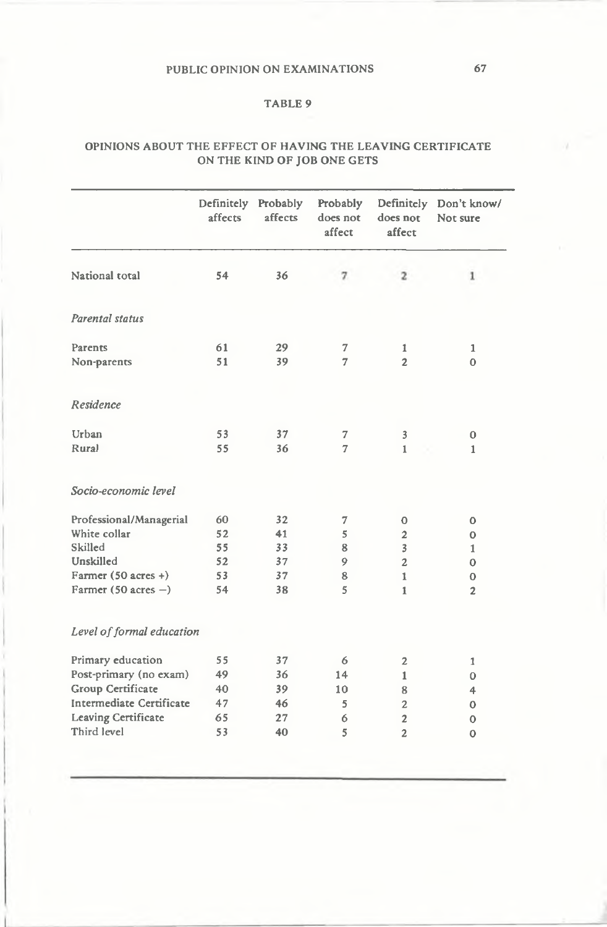### TABLE 9

### OPINIONS ABOUT THE EFFECT OF HAVING THE LEAVING CERTIFICATE ON THE KIND OF JOB ONE GETS

| National total<br>54<br>36<br>$\mathbf{z}$<br>7<br>Parental status<br>61<br>29<br>Parents<br>7<br>1<br>51<br>$\overline{2}$<br>39<br>7<br>Non-parents<br>Residence<br>Urban<br>37<br>53<br>7<br>3<br>Rural<br>55<br>36<br>7<br>$\mathbf{1}$<br>Socio-economic level<br>Professional/Managerial<br>60<br>32<br>7<br>$\mathbf 0$<br>White collar<br>52<br>41<br>5<br>$\overline{2}$<br>Skilled<br>55<br>33<br>$\overline{3}$<br>8<br>Unskilled<br>52<br>37<br>9<br>$\overline{2}$<br>Farmer $(50 \text{ acres} + )$<br>53<br>37<br>8<br>$\mathbf{1}$<br>Farmer (50 acres $-$ )<br>54<br>38<br>5<br>1<br>Level of formal education<br>Primary education<br>55<br>37<br>6<br>2<br>Post-primary (no exam)<br>36<br>49<br>14<br>1<br>Group Certificate<br>40<br>39<br>10<br>8 | Definitely Don't know/<br>Not sure | does not<br>affect | Probably<br>does not<br>affect | Probably<br>affects | Definitely<br>affects |                          |
|-------------------------------------------------------------------------------------------------------------------------------------------------------------------------------------------------------------------------------------------------------------------------------------------------------------------------------------------------------------------------------------------------------------------------------------------------------------------------------------------------------------------------------------------------------------------------------------------------------------------------------------------------------------------------------------------------------------------------------------------------------------------------|------------------------------------|--------------------|--------------------------------|---------------------|-----------------------|--------------------------|
|                                                                                                                                                                                                                                                                                                                                                                                                                                                                                                                                                                                                                                                                                                                                                                         | 1                                  |                    |                                |                     |                       |                          |
|                                                                                                                                                                                                                                                                                                                                                                                                                                                                                                                                                                                                                                                                                                                                                                         |                                    |                    |                                |                     |                       |                          |
|                                                                                                                                                                                                                                                                                                                                                                                                                                                                                                                                                                                                                                                                                                                                                                         | 1                                  |                    |                                |                     |                       |                          |
|                                                                                                                                                                                                                                                                                                                                                                                                                                                                                                                                                                                                                                                                                                                                                                         | $\Omega$                           |                    |                                |                     |                       |                          |
|                                                                                                                                                                                                                                                                                                                                                                                                                                                                                                                                                                                                                                                                                                                                                                         |                                    |                    |                                |                     |                       |                          |
|                                                                                                                                                                                                                                                                                                                                                                                                                                                                                                                                                                                                                                                                                                                                                                         | 0                                  |                    |                                |                     |                       |                          |
|                                                                                                                                                                                                                                                                                                                                                                                                                                                                                                                                                                                                                                                                                                                                                                         | 1                                  |                    |                                |                     |                       |                          |
|                                                                                                                                                                                                                                                                                                                                                                                                                                                                                                                                                                                                                                                                                                                                                                         |                                    |                    |                                |                     |                       |                          |
|                                                                                                                                                                                                                                                                                                                                                                                                                                                                                                                                                                                                                                                                                                                                                                         | $\mathbf 0$                        |                    |                                |                     |                       |                          |
|                                                                                                                                                                                                                                                                                                                                                                                                                                                                                                                                                                                                                                                                                                                                                                         | 0                                  |                    |                                |                     |                       |                          |
|                                                                                                                                                                                                                                                                                                                                                                                                                                                                                                                                                                                                                                                                                                                                                                         | 1                                  |                    |                                |                     |                       |                          |
|                                                                                                                                                                                                                                                                                                                                                                                                                                                                                                                                                                                                                                                                                                                                                                         | $\Omega$                           |                    |                                |                     |                       |                          |
|                                                                                                                                                                                                                                                                                                                                                                                                                                                                                                                                                                                                                                                                                                                                                                         | $\mathbf 0$                        |                    |                                |                     |                       |                          |
|                                                                                                                                                                                                                                                                                                                                                                                                                                                                                                                                                                                                                                                                                                                                                                         | $\overline{2}$                     |                    |                                |                     |                       |                          |
|                                                                                                                                                                                                                                                                                                                                                                                                                                                                                                                                                                                                                                                                                                                                                                         |                                    |                    |                                |                     |                       |                          |
|                                                                                                                                                                                                                                                                                                                                                                                                                                                                                                                                                                                                                                                                                                                                                                         | 1                                  |                    |                                |                     |                       |                          |
|                                                                                                                                                                                                                                                                                                                                                                                                                                                                                                                                                                                                                                                                                                                                                                         | 0                                  |                    |                                |                     |                       |                          |
|                                                                                                                                                                                                                                                                                                                                                                                                                                                                                                                                                                                                                                                                                                                                                                         | 4                                  |                    |                                |                     |                       |                          |
|                                                                                                                                                                                                                                                                                                                                                                                                                                                                                                                                                                                                                                                                                                                                                                         | $\mathbf o$                        | $\overline{2}$     | 5                              | 46                  | 47                    | Intermediate Certificate |
| <b>Leaving Certificate</b><br>65<br>27<br>6<br>$\overline{c}$                                                                                                                                                                                                                                                                                                                                                                                                                                                                                                                                                                                                                                                                                                           | $\mathbf 0$                        |                    |                                |                     |                       |                          |
| Third level<br>53<br>40<br>5<br>$\overline{c}$                                                                                                                                                                                                                                                                                                                                                                                                                                                                                                                                                                                                                                                                                                                          | $\mathbf{o}$                       |                    |                                |                     |                       |                          |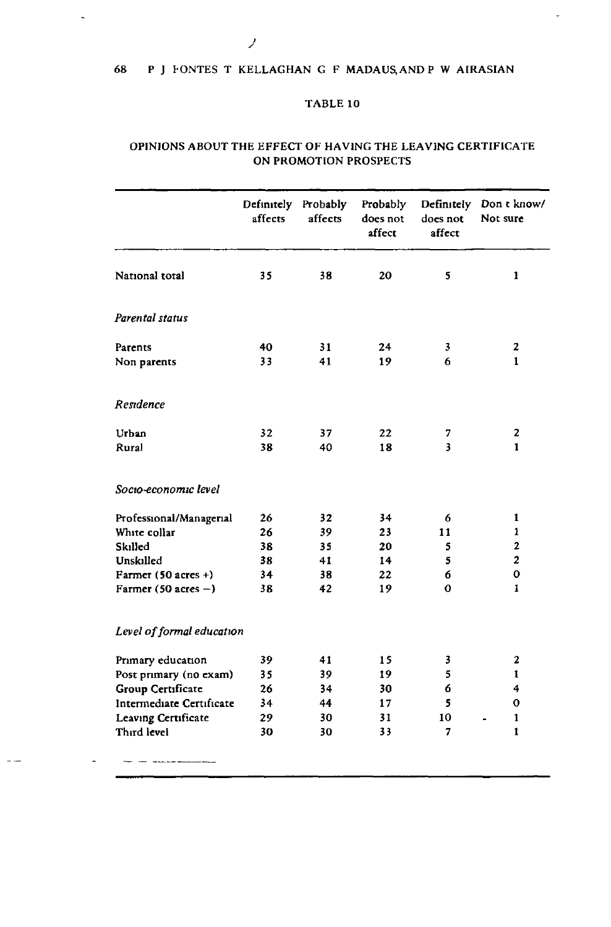## 68 P J CONTES T KELLAGHAN G F MADAUS.ANDP W AIRASIAN

## TABLE 10

### OPINIONS ABOUT THE EFFECT OF HAVING THE LEAVING CERTIFICATE ON PROMOTION PROSPECTS

|                                | Definitely<br>affects | Probably<br>affects | Probably<br>does not<br>affect | does not<br>affect | Definitely Don t know/<br>Not sure |
|--------------------------------|-----------------------|---------------------|--------------------------------|--------------------|------------------------------------|
| National total                 | 35                    | 38                  | 20                             | 5                  | 1                                  |
| Parental status                |                       |                     |                                |                    |                                    |
| Parents                        | 40                    | 31                  | 24                             | 3                  | 2                                  |
| Non parents                    | 33                    | 41                  | 19                             | 6                  | $\mathbf{1}$                       |
| Residence                      |                       |                     |                                |                    |                                    |
| Urban                          | 32                    | 37                  | 22                             | 7                  | 2                                  |
| Rural                          | 38                    | 40                  | 18                             | 3                  | $\mathbf{1}$                       |
| Socio-economic level           |                       |                     |                                |                    |                                    |
| Professional/Managerial        | 26                    | 32                  | 34                             | 6                  | $\mathbf{1}$                       |
| White collar                   | 26                    | 39                  | 23                             | 11                 | $\mathbf{1}$                       |
| Skilled                        | 38                    | 35                  | 20                             | 5                  | 2                                  |
| Unskilled                      | 38                    | 41                  | 14                             | 5                  | $\mathbf{z}$                       |
| Farmer $(50 \text{ acres} + )$ | 34                    | 38                  | 22                             | 6                  | 0                                  |
| Farmer $(50 \text{ acres} - )$ | 38                    | 42                  | 19                             | 0                  | 1                                  |
| Level of formal education      |                       |                     |                                |                    |                                    |
| Primary education              | 39                    | 41                  | 15                             | 3                  | 2                                  |
| Post primary (no exam)         | 35                    | 39                  | 19                             | 5                  | 1                                  |
| Group Certificate              | 26                    | 34                  | 30                             | 6                  | 4                                  |
| Intermediate Certificate       | 34                    | 44                  | 17                             | 5                  | 0                                  |
| Leaving Certificate            | 29                    | 30                  | 31                             | 10                 | 1                                  |
| Third level                    | 30                    | 30                  | 33                             | 7                  | $\mathbf{1}$                       |
| -------                        |                       |                     |                                |                    |                                    |

 $\ddot{\phantom{0}}$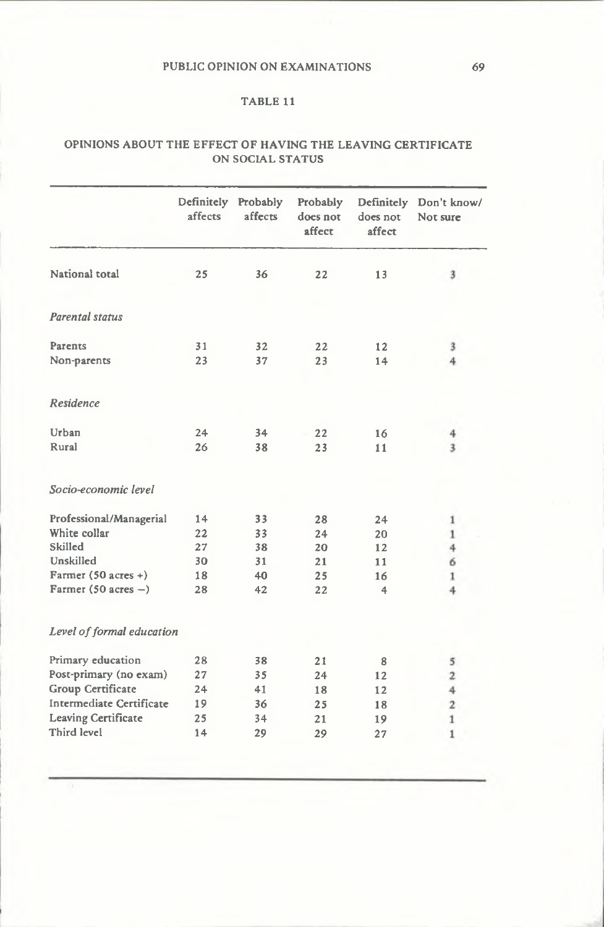### TABLE 11

#### OPINIONS ABOUT THE EFFECT OF HAVING THE LEAVING CERTIFICATE ON SOCIAL STATUS

|                                | Definitely<br>affects | Probably<br>affects | Probably<br>does not<br>affect | Definitely<br>does not<br>affect | Don't know/<br>Not sure |
|--------------------------------|-----------------------|---------------------|--------------------------------|----------------------------------|-------------------------|
| National total                 | 25                    | 36                  | 22                             | 13                               | 3                       |
| Parental status                |                       |                     |                                |                                  |                         |
| Parents                        | 31                    | 32                  | 22                             | 12                               | 3                       |
| Non-parents                    | 23                    | 37                  | 23                             | 14                               | 4                       |
| Residence                      |                       |                     |                                |                                  |                         |
| Urban                          | 24                    | 34                  | 22                             | 16                               | 4                       |
| Rural                          | 26                    | 38                  | 23                             | 11                               | 3                       |
| Socio-economic level           |                       |                     |                                |                                  |                         |
| Professional/Managerial        | 14                    | 33                  | 28                             | 24                               | $\mathbf{I}$            |
| White collar                   | 22                    | 33                  | 24                             | 20                               | $\bf 1$                 |
| Skilled                        | 27                    | 38                  | 20                             | 12                               | 4                       |
| Unskilled                      | 30                    | 31                  | 21                             | 11                               | 6                       |
| Farmer $(50 \text{ acres} + )$ | 18                    | 40                  | 25                             | 16                               | 1                       |
| Farmer (50 acres $-$ )         | 28                    | 42                  | 22                             | 4                                | 4                       |
| Level of formal education      |                       |                     |                                |                                  |                         |
| Primary education              | 28                    | 38                  | 21                             | 8                                | 5                       |
| Post-primary (no exam)         | 27                    | 35                  | 24                             | 12                               | $\overline{\mathbf{2}}$ |
| Group Certificate              | 24                    | 41                  | 18                             | 12                               | $\overline{4}$          |
| Intermediate Certificate       | 19                    | 36                  | 25                             | 18                               | $\overline{2}$          |
| <b>Leaving Certificate</b>     | 25                    | 34                  | 21                             | 19                               | $1\,$                   |
| Third level                    | 14                    | 29                  | 29                             | 27                               | $\mathbf{1}$            |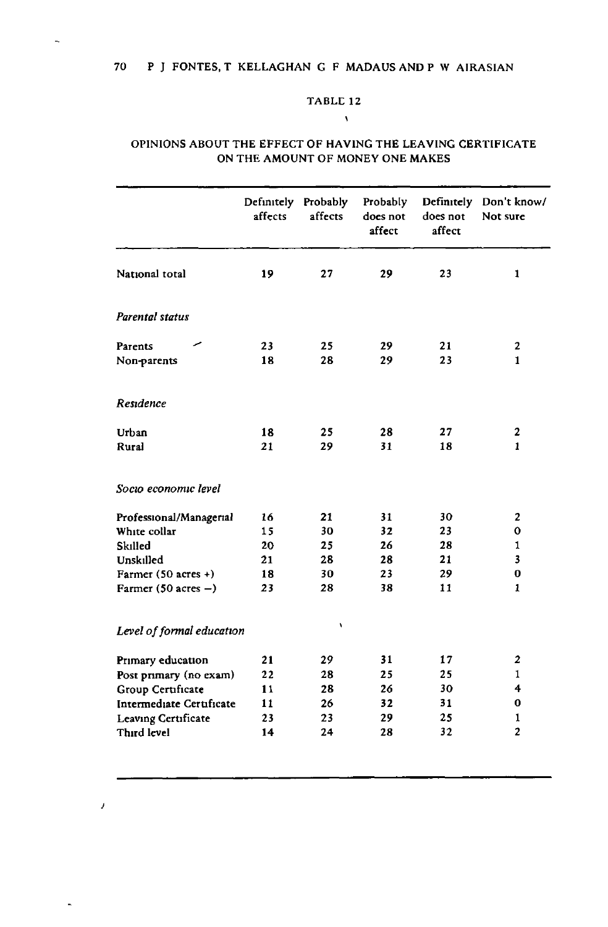#### 70 P J FONTES, T KELLAGHAN G F MADAUS AND P W AIRASIAN

## TABLE 12

 $\mathbf{A}$ 

### OPINIONS ABOUT THE EFFECT OF HAVING THE LEAVING CERTIFICATE ON THE AMOUNT OF MONEY ONE MAKES

|                                | Definitely Probably<br>affects | affects | Probably<br>does not<br>affect | does not<br>affect | Definitely Don't know/<br>Not sure |
|--------------------------------|--------------------------------|---------|--------------------------------|--------------------|------------------------------------|
| National total                 | 19                             | 27      | 29                             | 23                 | $\mathbf{1}$                       |
| Parental status                |                                |         |                                |                    |                                    |
| Parents                        | 23                             | 25      | 29                             | 21                 | 2                                  |
| Non-parents                    | 18                             | 28      | 29                             | 23                 | $\mathbf{1}$                       |
| Residence                      |                                |         |                                |                    |                                    |
| Urban                          | 18                             | 25      | 28                             | 27                 | 2                                  |
| Rural                          | 21                             | 29      | 31                             | 18                 | 1                                  |
| Socio economic level           |                                |         |                                |                    |                                    |
| Professional/Managerial        | 16                             | 21      | 31                             | 30                 | $\mathbf{2}$                       |
| White collar                   | 15                             | 30      | 32                             | 23                 | 0                                  |
| Skilled                        | 20                             | 25      | 26                             | 28                 | 1                                  |
| Unskilled                      | 21                             | 28      | 28                             | 21                 | 3                                  |
| Farmer $(50$ acres +)          | 18                             | 30      | 23                             | 29                 | 0                                  |
| Farmer $(50 \text{ acres} - )$ | 23                             | 28      | 38                             | 11                 | 1                                  |
| Level of formal education      |                                | ١       |                                |                    |                                    |
| Primary education              | 21                             | 29      | 31                             | 17                 | 2                                  |
| Post primary (no exam)         | 22                             | 28      | 25                             | 25                 | 1                                  |
| Group Certificate              | 11                             | 28      | 26                             | 30                 | 4                                  |
| Intermediate Certificate       | 11                             | 26      | 32                             | 31                 | 0                                  |
| Leaving Certificate            | 23                             | 23      | 29                             | 25                 | 1                                  |
| Third level                    | 14                             | 24      | 28                             | 32                 | $\overline{2}$                     |
|                                |                                |         |                                |                    |                                    |

 $\overline{a}$ 

*)*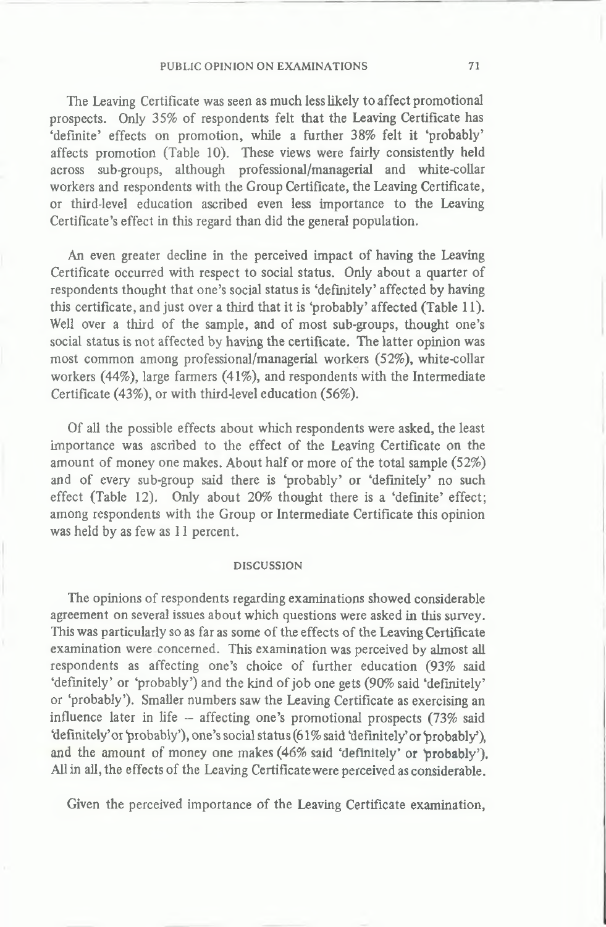**The Leaving Certificate was seen as much less likely to affect promotional prospects. Only 35% of respondents felt that the Leaving Certificate has 'definite' effects on promotion, while a further 38% felt it 'probably' affects promotion (Table 10). These views were fairly consistently held across sub-groups, although professional/managerial and white-collar workers and respondents with the Group Certificate, the Leaving Certificate, or third-level education ascribed even less importance to the Leaving Certificate's effect in this regard than did the general population.**

**An even greater decline in the perceived impact of having the Leaving Certificate occurred with respect to social status. Only about a quarter of respondents thought that one's social status is 'definitely' affected by having this certificate, and just over a third that it is 'probably' affected (Table 11). Well over a third of the sample, and of most sub-groups, thought one's social status is not affected by having the certificate. The latter opinion was most common among professional/managerial workers (52%), white-collar workers (44%), large farmers (41%), and respondents with the Intermediate Certificate (43%), or with third-level education (56%).**

**Of all the possible effects about which respondents were asked, the least importance was ascribed to the effect of the Leaving Certificate on the amount of money one makes. About half or more of the total sample (52%) and of every sub-group said there is 'probably' or 'definitely' no such effect (Table 12). Only about 20% thought there is a 'definite' effect; among respondents with the Group or Intermediate Certificate this opinion was held by as few as 11 percent.**

#### DISCUSSION

**The opinions of respondents regarding examinations showed considerable agreement on several issues about which questions were asked in this survey. This was particularly so as far as some of the effects of the Leaving Certificate examination were concerned. This examination was perceived by almost all respondents as affecting one's choice of further education (93% said 'definitely' or 'probably') and the kind of job one gets (90% said 'definitely' or 'probably'). Smaller numbers saw the Leaving Certificate as exercising an influence later in life — affecting one's promotional prospects (73% said 'definitely'or 'probably'), one's social status (61% said 'definitely'or probably'), and the amount of money one makes (46% said 'definitely' or probably'). All in all, the effects of the Leaving Certificate were perceived as considerable.**

**Given the perceived importance of the Leaving Certificate examination,**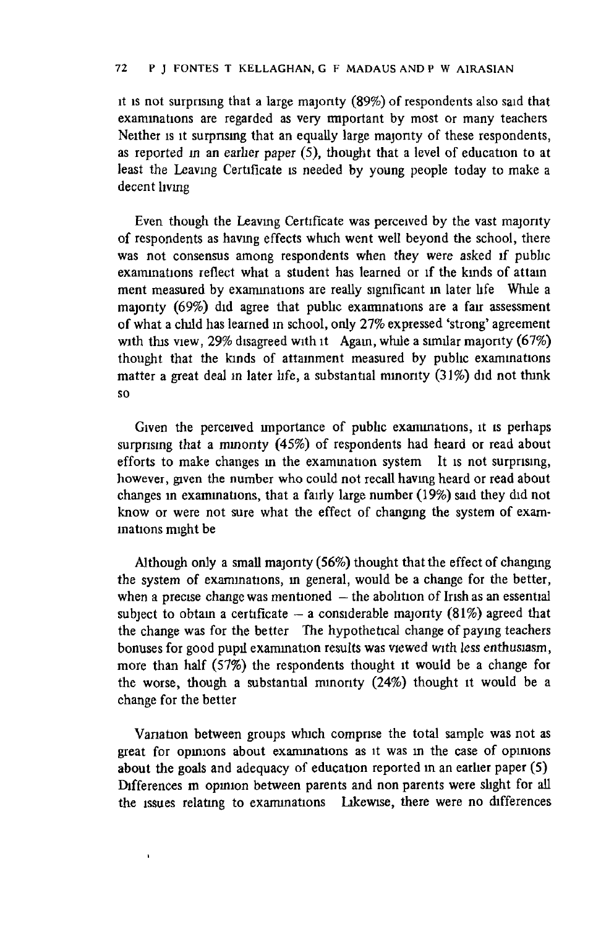**it is not surprising that a large majority (89%) of respondents also said that examinations are regarded as very important by most or many teachers Neither is it surprising that an equally large majority of these respondents, as reported in an earlier paper (5), thought that a level of education to at least the Leaving Certificate is needed by young people today to make a decent living**

**Even though the Leaving Certificate was perceived by the vast majority of respondents as having effects which went well beyond the school, there was not consensus among respondents when they were asked if public examinations reflect what a student has learned or if the kmds of attain ment measured by examinations are really significant in later life While a majonty (69%) did agree that public examinations are a fair assessment of what a child has learned in school, only 27% expressed 'strong' agreement with this view, 29% disagreed with it Again, while a similar majonty (67%) thought that the kinds of attainment measured by public examinations matter a great deal in later life, a substantial minonty (31%) did not think so**

**Given the perceived importance of public examinations, it is perhaps surpnsing that a minonty (45%) of respondents had heard or read about efforts to make changes m the examination system It is not surprising, however, given the number who could not recall having heard or read about changes in examinations, that a fairly large number (19%) said they did not** know or were not sure what the effect of changing the system of exam**inations might be**

**Although only a small majonty (56%) thought that the effect of changing the system of examinations, in general, would be a change for the better, when a precise change was mentioned — the abolition of Irish as an essential** subject to obtain a certificate  $-$  a considerable majority (81%) agreed that **the change was for the better The hypothetical change of paying teachers bonuses for good pupil exammation results was viewed with less enthusiasm, more than half (57%) the respondents thought it would be a change for the worse, though a substantial minonty (24%) thought it would be a change for the better**

**Vanation between groups which comprise the total sample was not as great for opinions about examinations as it was in the case of opimons about the goals and adequacy of education reported in an earlier paper (5) Differences m opinion between parents and non parents were slight for all the issues relating to examinations Likewise, there were no differences**

 $\mathbf{I}$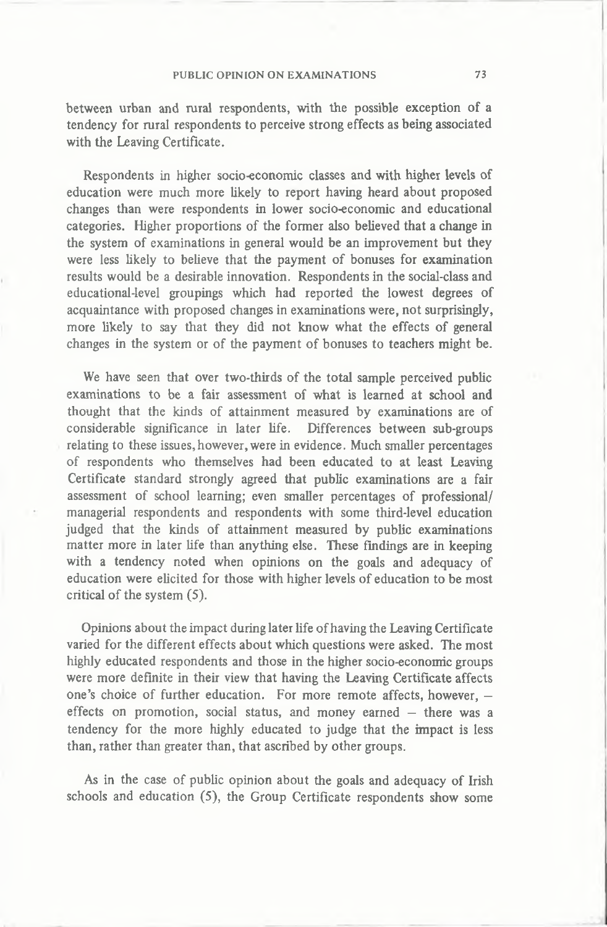**between urban and rural respondents, with the possible exception of a tendency for rural respondents to perceive strong effects as being associated with the Leaving Certificate.**

**Respondents in higher socio-economic classes and with higher levels of education were much more likely to report having heard about proposed changes than were respondents in lower socio-economic and educational categories. Higher proportions of the former also believed that a change in the system of examinations in general would be an improvement but they were less likely to believe that the payment of bonuses for examination results would be a desirable innovation. Respondents in the social-class and educational-level groupings which had reported the lowest degrees of acquaintance with proposed changes in examinations were, not surprisingly, more likely to say that they did not know what the effects of general changes in the system or of the payment of bonuses to teachers might be.**

**We have seen that over two-thirds of the total sample perceived public examinations to be a fair assessment of what is learned at school and thought that the kinds of attainment measured by examinations are of considerable significance in later life. Differences between sub-groups relating to these issues,however, were in evidence. Much smaller percentages of respondents who themselves had been educated to at least Leaving Certificate standard strongly agreed that public examinations are a fair assessment of school learning; even smaller percentages of professional/ managerial respondents and respondents with some third-level education judged that the kinds of attainment measured by public examinations matter more in later life than anything else. These findings are in keeping with a tendency noted when opinions on the goals and adequacy of education were elicited for those with higher levels of education to be most critical of the system (5).**

**Opinions about the impact during later life of having the Leaving Certificate varied for the different effects about which questions were asked. The most highly educated respondents and those in the higher socio-economic groups were more definite in their view that having the Leaving Certificate affects one's choice of further education. For more remote affects, however, effects on promotion, social status, and money earned — there was a tendency for the more highly educated to judge that the impact is less than, rather than greater than, that ascribed by other groups.**

**As in the case of public opinion about the goals and adequacy of Irish schools and education (5), the Group Certificate respondents show some**